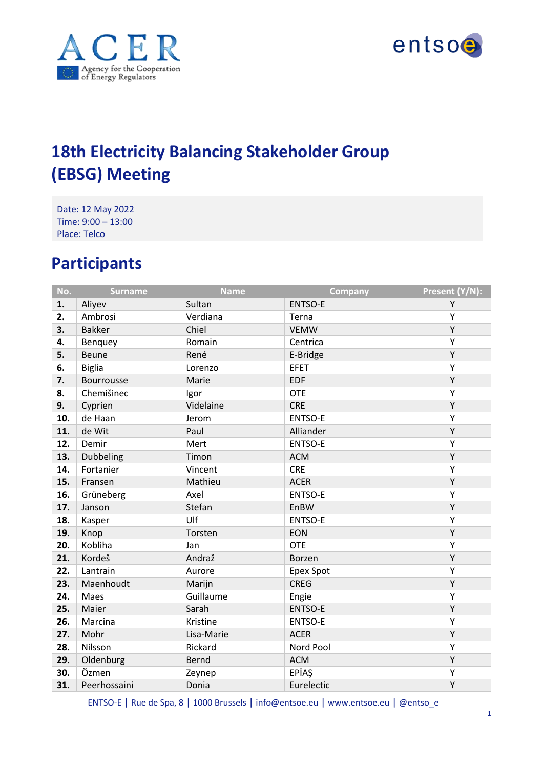



# **18th Electricity Balancing Stakeholder Group (EBSG) Meeting**

Date: 12 May 2022 Time: 9:00 – 13:00 Place: Telco

# **Participants**

| No. | <b>Surname</b>    | <b>Name</b>  | <b>Company</b>   | Present (Y/N): |
|-----|-------------------|--------------|------------------|----------------|
| 1.  | Aliyev            | Sultan       | <b>ENTSO-E</b>   | Υ              |
| 2.  | Ambrosi           | Verdiana     | Terna            | Υ              |
| 3.  | <b>Bakker</b>     | Chiel        | <b>VEMW</b>      | Υ              |
| 4.  | Benquey           | Romain       | Centrica         | Υ              |
| 5.  | <b>Beune</b>      | René         | E-Bridge         | Υ              |
| 6.  | <b>Biglia</b>     | Lorenzo      | <b>EFET</b>      | Υ              |
| 7.  | <b>Bourrousse</b> | Marie        | <b>EDF</b>       | Υ              |
| 8.  | Chemišinec        | Igor         | <b>OTE</b>       | Υ              |
| 9.  | Cyprien           | Videlaine    | <b>CRE</b>       | Υ              |
| 10. | de Haan           | Jerom        | <b>ENTSO-E</b>   | Υ              |
| 11. | de Wit            | Paul         | Alliander        | Υ              |
| 12. | Demir             | Mert         | <b>ENTSO-E</b>   | Υ              |
| 13. | Dubbeling         | Timon        | <b>ACM</b>       | Υ              |
| 14. | Fortanier         | Vincent      | <b>CRE</b>       | Υ              |
| 15. | Fransen           | Mathieu      | <b>ACER</b>      | Υ              |
| 16. | Grüneberg         | Axel         | <b>ENTSO-E</b>   | Υ              |
| 17. | Janson            | Stefan       | EnBW             | Υ              |
| 18. | Kasper            | Ulf          | <b>ENTSO-E</b>   | Υ              |
| 19. | Knop              | Torsten      | <b>EON</b>       | Υ              |
| 20. | Kobliha           | Jan          | <b>OTE</b>       | Υ              |
| 21. | Kordeš            | Andraž       | <b>Borzen</b>    | Υ              |
| 22. | Lantrain          | Aurore       | <b>Epex Spot</b> | Υ              |
| 23. | Maenhoudt         | Marijn       | <b>CREG</b>      | Υ              |
| 24. | Maes              | Guillaume    | Engie            | Υ              |
| 25. | Maier             | Sarah        | <b>ENTSO-E</b>   | Υ              |
| 26. | Marcina           | Kristine     | <b>ENTSO-E</b>   | Υ              |
| 27. | Mohr              | Lisa-Marie   | <b>ACER</b>      | Υ              |
| 28. | Nilsson           | Rickard      | Nord Pool        | Υ              |
| 29. | Oldenburg         | <b>Bernd</b> | <b>ACM</b>       | Υ              |
| 30. | Özmen             | Zeynep       | EPİAŞ            | Υ              |
| 31. | Peerhossaini      | Donia        | Eurelectic       | Υ              |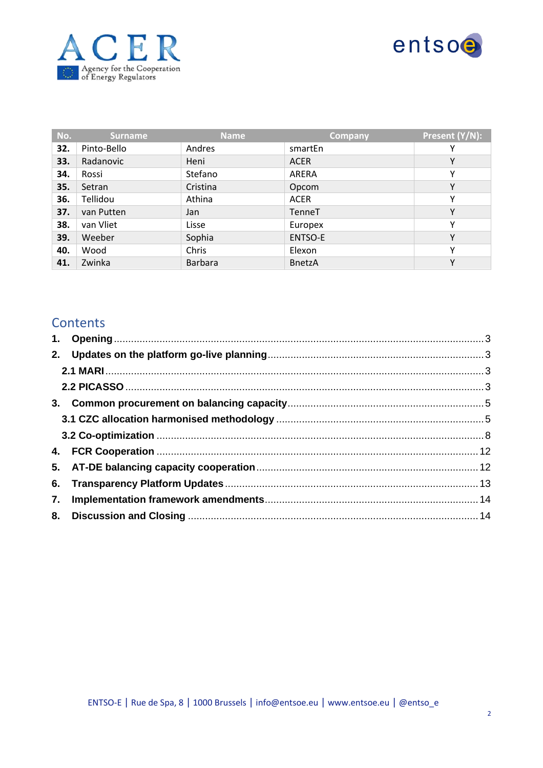



| No. | <b>Surname</b> | <b>Name</b>    | <b>Company</b> | Present (Y/N): |
|-----|----------------|----------------|----------------|----------------|
| 32. | Pinto-Bello    | Andres         | smartEn        | Υ              |
| 33. | Radanovic      | Heni           | <b>ACER</b>    | Υ              |
| 34. | Rossi          | Stefano        | ARERA          | Υ              |
| 35. | Setran         | Cristina       | Opcom          | Υ              |
| 36. | Tellidou       | Athina         | <b>ACER</b>    | ٧              |
| 37. | van Putten     | Jan            | TenneT         | Υ              |
| 38. | van Vliet      | Lisse          | Europex        | Υ              |
| 39. | Weeber         | Sophia         | ENTSO-E        | Υ              |
| 40. | Wood           | Chris          | Elexon         | Υ              |
| 41. | Zwinka         | <b>Barbara</b> | <b>BnetzA</b>  | Υ              |

#### **Contents**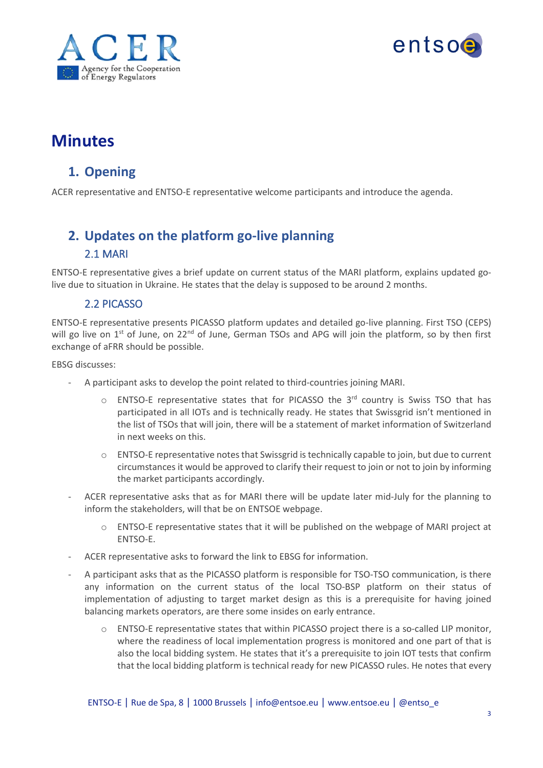



# **Minutes**

#### <span id="page-2-0"></span>**1. Opening**

ACER representative and ENTSO-E representative welcome participants and introduce the agenda.

## <span id="page-2-1"></span>**2. Updates on the platform go-live planning**

#### 2.1 MARI

<span id="page-2-2"></span>ENTSO-E representative gives a brief update on current status of the MARI platform, explains updated golive due to situation in Ukraine. He states that the delay is supposed to be around 2 months.

#### 2.2 PICASSO

<span id="page-2-3"></span>ENTSO-E representative presents PICASSO platform updates and detailed go-live planning. First TSO (CEPS) will go live on  $1<sup>st</sup>$  of June, on 22<sup>nd</sup> of June, German TSOs and APG will join the platform, so by then first exchange of aFRR should be possible.

EBSG discusses:

- A participant asks to develop the point related to third-countries joining MARI.
	- $\circ$  ENTSO-E representative states that for PICASSO the 3<sup>rd</sup> country is Swiss TSO that has participated in all IOTs and is technically ready. He states that Swissgrid isn't mentioned in the list of TSOs that will join, there will be a statement of market information of Switzerland in next weeks on this.
	- o ENTSO-E representative notes that Swissgrid is technically capable to join, but due to current circumstances it would be approved to clarify their request to join or not to join by informing the market participants accordingly.
- ACER representative asks that as for MARI there will be update later mid-July for the planning to inform the stakeholders, will that be on ENTSOE webpage.
	- $\circ$  ENTSO-E representative states that it will be published on the webpage of MARI project at ENTSO-E.
- ACER representative asks to forward the link to EBSG for information.
- A participant asks that as the PICASSO platform is responsible for TSO-TSO communication, is there any information on the current status of the local TSO-BSP platform on their status of implementation of adjusting to target market design as this is a prerequisite for having joined balancing markets operators, are there some insides on early entrance.
	- $\circ$  ENTSO-E representative states that within PICASSO project there is a so-called LIP monitor, where the readiness of local implementation progress is monitored and one part of that is also the local bidding system. He states that it's a prerequisite to join IOT tests that confirm that the local bidding platform is technical ready for new PICASSO rules. He notes that every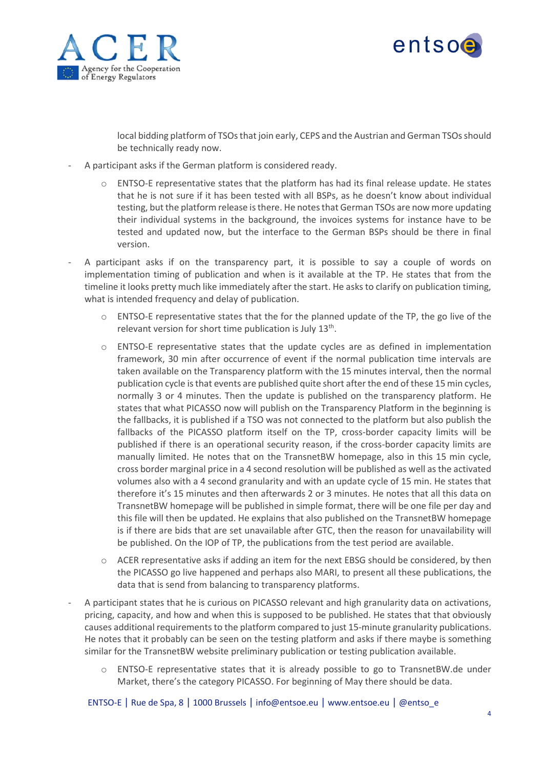



local bidding platform of TSOs that join early, CEPS and the Austrian and German TSOs should be technically ready now.

- A participant asks if the German platform is considered ready.
	- $\circ$  ENTSO-E representative states that the platform has had its final release update. He states that he is not sure if it has been tested with all BSPs, as he doesn't know about individual testing, but the platform release is there. He notes that German TSOs are now more updating their individual systems in the background, the invoices systems for instance have to be tested and updated now, but the interface to the German BSPs should be there in final version.
- A participant asks if on the transparency part, it is possible to say a couple of words on implementation timing of publication and when is it available at the TP. He states that from the timeline it looks pretty much like immediately after the start. He asks to clarify on publication timing, what is intended frequency and delay of publication.
	- $\circ$  ENTSO-E representative states that the for the planned update of the TP, the go live of the relevant version for short time publication is July 13<sup>th</sup>.
	- $\circ$  ENTSO-E representative states that the update cycles are as defined in implementation framework, 30 min after occurrence of event if the normal publication time intervals are taken available on the Transparency platform with the 15 minutes interval, then the normal publication cycle is that events are published quite short after the end of these 15 min cycles, normally 3 or 4 minutes. Then the update is published on the transparency platform. He states that what PICASSO now will publish on the Transparency Platform in the beginning is the fallbacks, it is published if a TSO was not connected to the platform but also publish the fallbacks of the PICASSO platform itself on the TP, cross-border capacity limits will be published if there is an operational security reason, if the cross-border capacity limits are manually limited. He notes that on the TransnetBW homepage, also in this 15 min cycle, cross border marginal price in a 4 second resolution will be published as well asthe activated volumes also with a 4 second granularity and with an update cycle of 15 min. He states that therefore it's 15 minutes and then afterwards 2 or 3 minutes. He notes that all this data on TransnetBW homepage will be published in simple format, there will be one file per day and this file will then be updated. He explains that also published on the TransnetBW homepage is if there are bids that are set unavailable after GTC, then the reason for unavailability will be published. On the IOP of TP, the publications from the test period are available.
	- $\circ$  ACER representative asks if adding an item for the next EBSG should be considered, by then the PICASSO go live happened and perhaps also MARI, to present all these publications, the data that is send from balancing to transparency platforms.
- A participant states that he is curious on PICASSO relevant and high granularity data on activations, pricing, capacity, and how and when this is supposed to be published. He states that that obviously causes additional requirements to the platform compared to just 15-minute granularity publications. He notes that it probably can be seen on the testing platform and asks if there maybe is something similar for the TransnetBW website preliminary publication or testing publication available.
	- $\circ$  ENTSO-E representative states that it is already possible to go to TransnetBW.de under Market, there's the category PICASSO. For beginning of May there should be data.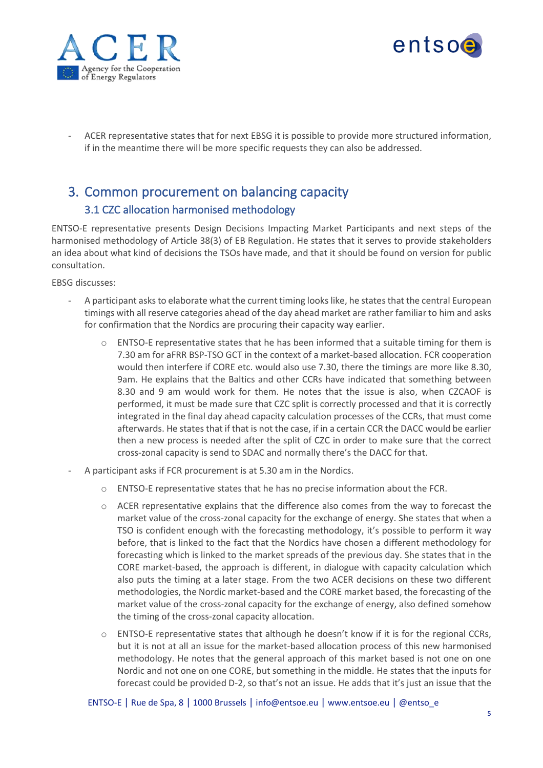



- ACER representative states that for next EBSG it is possible to provide more structured information, if in the meantime there will be more specific requests they can also be addressed.

### <span id="page-4-0"></span>3. Common procurement on balancing capacity 3.1 CZC allocation harmonised methodology

<span id="page-4-1"></span>ENTSO-E representative presents Design Decisions Impacting Market Participants and next steps of the harmonised methodology of Article 38(3) of EB Regulation. He states that it serves to provide stakeholders an idea about what kind of decisions the TSOs have made, and that it should be found on version for public consultation.

EBSG discusses:

- A participant asks to elaborate what the current timing looks like, he states that the central European timings with all reserve categories ahead of the day ahead market are rather familiar to him and asks for confirmation that the Nordics are procuring their capacity way earlier.
	- $\circ$  ENTSO-E representative states that he has been informed that a suitable timing for them is 7.30 am for aFRR BSP-TSO GCT in the context of a market-based allocation. FCR cooperation would then interfere if CORE etc. would also use 7.30, there the timings are more like 8.30, 9am. He explains that the Baltics and other CCRs have indicated that something between 8.30 and 9 am would work for them. He notes that the issue is also, when CZCAOF is performed, it must be made sure that CZC split is correctly processed and that it is correctly integrated in the final day ahead capacity calculation processes of the CCRs, that must come afterwards. He states that if that is not the case, if in a certain CCR the DACC would be earlier then a new process is needed after the split of CZC in order to make sure that the correct cross-zonal capacity is send to SDAC and normally there's the DACC for that.
- A participant asks if FCR procurement is at 5.30 am in the Nordics.
	- o ENTSO-E representative states that he has no precise information about the FCR.
	- $\circ$  ACER representative explains that the difference also comes from the way to forecast the market value of the cross-zonal capacity for the exchange of energy. She states that when a TSO is confident enough with the forecasting methodology, it's possible to perform it way before, that is linked to the fact that the Nordics have chosen a different methodology for forecasting which is linked to the market spreads of the previous day. She states that in the CORE market-based, the approach is different, in dialogue with capacity calculation which also puts the timing at a later stage. From the two ACER decisions on these two different methodologies, the Nordic market-based and the CORE market based, the forecasting of the market value of the cross-zonal capacity for the exchange of energy, also defined somehow the timing of the cross-zonal capacity allocation.
	- $\circ$  ENTSO-E representative states that although he doesn't know if it is for the regional CCRs, but it is not at all an issue for the market-based allocation process of this new harmonised methodology. He notes that the general approach of this market based is not one on one Nordic and not one on one CORE, but something in the middle. He states that the inputs for forecast could be provided D-2, so that's not an issue. He adds that it's just an issue that the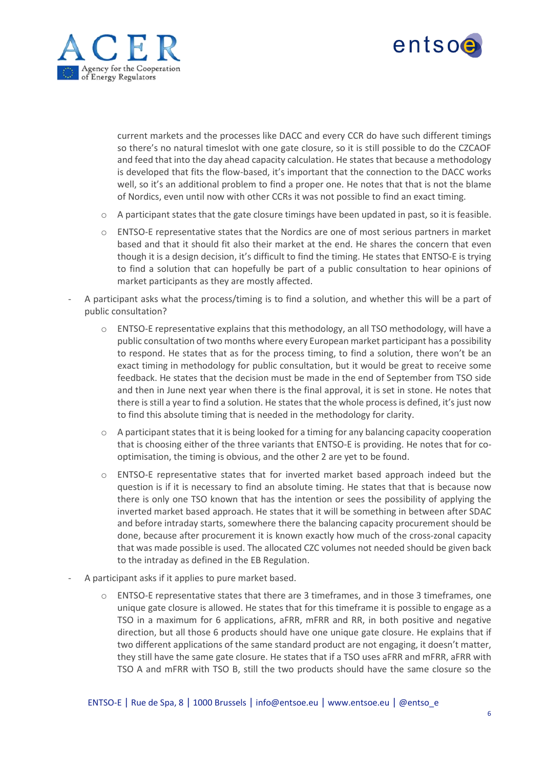



current markets and the processes like DACC and every CCR do have such different timings so there's no natural timeslot with one gate closure, so it is still possible to do the CZCAOF and feed that into the day ahead capacity calculation. He states that because a methodology is developed that fits the flow-based, it's important that the connection to the DACC works well, so it's an additional problem to find a proper one. He notes that that is not the blame of Nordics, even until now with other CCRs it was not possible to find an exact timing.

- o A participant states that the gate closure timings have been updated in past, so it is feasible.
- o ENTSO-E representative states that the Nordics are one of most serious partners in market based and that it should fit also their market at the end. He shares the concern that even though it is a design decision, it's difficult to find the timing. He states that ENTSO-E is trying to find a solution that can hopefully be part of a public consultation to hear opinions of market participants as they are mostly affected.
- A participant asks what the process/timing is to find a solution, and whether this will be a part of public consultation?
	- o ENTSO-E representative explains that this methodology, an all TSO methodology, will have a public consultation of two months where every European market participant has a possibility to respond. He states that as for the process timing, to find a solution, there won't be an exact timing in methodology for public consultation, but it would be great to receive some feedback. He states that the decision must be made in the end of September from TSO side and then in June next year when there is the final approval, it is set in stone. He notes that there isstill a year to find a solution. He states that the whole process is defined, it's just now to find this absolute timing that is needed in the methodology for clarity.
	- $\circ$  A participant states that it is being looked for a timing for any balancing capacity cooperation that is choosing either of the three variants that ENTSO-E is providing. He notes that for cooptimisation, the timing is obvious, and the other 2 are yet to be found.
	- $\circ$  ENTSO-E representative states that for inverted market based approach indeed but the question is if it is necessary to find an absolute timing. He states that that is because now there is only one TSO known that has the intention or sees the possibility of applying the inverted market based approach. He states that it will be something in between after SDAC and before intraday starts, somewhere there the balancing capacity procurement should be done, because after procurement it is known exactly how much of the cross-zonal capacity that was made possible is used. The allocated CZC volumes not needed should be given back to the intraday as defined in the EB Regulation.
- A participant asks if it applies to pure market based.
	- $\circ$  ENTSO-E representative states that there are 3 timeframes, and in those 3 timeframes, one unique gate closure is allowed. He states that for this timeframe it is possible to engage as a TSO in a maximum for 6 applications, aFRR, mFRR and RR, in both positive and negative direction, but all those 6 products should have one unique gate closure. He explains that if two different applications of the same standard product are not engaging, it doesn't matter, they still have the same gate closure. He states that if a TSO uses aFRR and mFRR, aFRR with TSO A and mFRR with TSO B, still the two products should have the same closure so the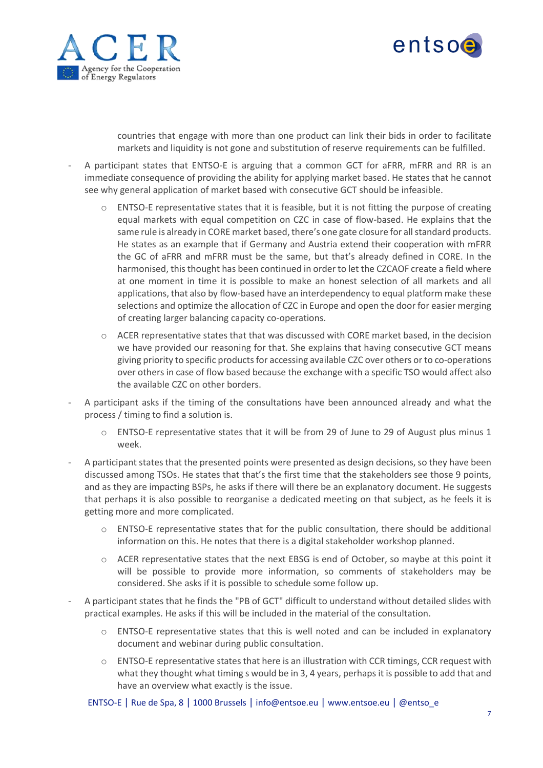



countries that engage with more than one product can link their bids in order to facilitate markets and liquidity is not gone and substitution of reserve requirements can be fulfilled.

- A participant states that ENTSO-E is arguing that a common GCT for aFRR, mFRR and RR is an immediate consequence of providing the ability for applying market based. He states that he cannot see why general application of market based with consecutive GCT should be infeasible.
	- $\circ$  ENTSO-E representative states that it is feasible, but it is not fitting the purpose of creating equal markets with equal competition on CZC in case of flow-based. He explains that the same rule is already in CORE market based, there's one gate closure for all standard products. He states as an example that if Germany and Austria extend their cooperation with mFRR the GC of aFRR and mFRR must be the same, but that's already defined in CORE. In the harmonised, this thought has been continued in order to let the CZCAOF create a field where at one moment in time it is possible to make an honest selection of all markets and all applications, that also by flow-based have an interdependency to equal platform make these selections and optimize the allocation of CZC in Europe and open the door for easier merging of creating larger balancing capacity co-operations.
	- o ACER representative states that that was discussed with CORE market based, in the decision we have provided our reasoning for that. She explains that having consecutive GCT means giving priority to specific products for accessing available CZC over others or to co-operations over others in case of flow based because the exchange with a specific TSO would affect also the available CZC on other borders.
- A participant asks if the timing of the consultations have been announced already and what the process / timing to find a solution is.
	- o ENTSO-E representative states that it will be from 29 of June to 29 of August plus minus 1 week.
- A participant states that the presented points were presented as design decisions, so they have been discussed among TSOs. He states that that's the first time that the stakeholders see those 9 points, and as they are impacting BSPs, he asks if there will there be an explanatory document. He suggests that perhaps it is also possible to reorganise a dedicated meeting on that subject, as he feels it is getting more and more complicated.
	- $\circ$  ENTSO-E representative states that for the public consultation, there should be additional information on this. He notes that there is a digital stakeholder workshop planned.
	- o ACER representative states that the next EBSG is end of October, so maybe at this point it will be possible to provide more information, so comments of stakeholders may be considered. She asks if it is possible to schedule some follow up.
- A participant states that he finds the "PB of GCT" difficult to understand without detailed slides with practical examples. He asks if this will be included in the material of the consultation.
	- $\circ$  ENTSO-E representative states that this is well noted and can be included in explanatory document and webinar during public consultation.
	- $\circ$  ENTSO-E representative states that here is an illustration with CCR timings, CCR request with what they thought what timing s would be in 3, 4 years, perhaps it is possible to add that and have an overview what exactly is the issue.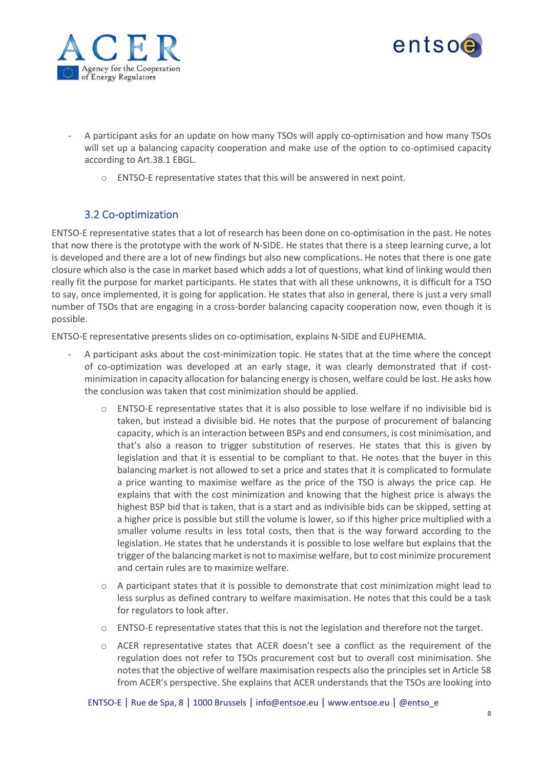



- A participant asks for an update on how many TSOs will apply co-optimisation and how many TSOs will set up a balancing capacity cooperation and make use of the option to co-optimised capacity according to Art.38.1 EBGL.
	- o ENTSO-E representative states that this will be answered in next point.

#### 3.2 Co-optimization

<span id="page-7-0"></span>ENTSO-E representative states that a lot of research has been done on co-optimisation in the past. He notes that now there is the prototype with the work of N-SIDE. He states that there is a steep learning curve, a lot is developed and there are a lot of new findings but also new complications. He notes that there is one gate closure which also is the case in market based which adds a lot of questions, what kind of linking would then really fit the purpose for market participants. He states that with all these unknowns, it is difficult for a TSO to say, once implemented, it is going for application. He states that also in general, there is just a very small number of TSOs that are engaging in a cross-border balancing capacity cooperation now, even though it is possible.

ENTSO-E representative presents slides on co-optimisation, explains N-SIDE and EUPHEMIA.

- A participant asks about the cost-minimization topic. He states that at the time where the concept of co-optimization was developed at an early stage, it was clearly demonstrated that if costminimization in capacity allocation for balancing energy is chosen, welfare could be lost. He asks how the conclusion was taken that cost minimization should be applied.
	- $\circ$  ENTSO-E representative states that it is also possible to lose welfare if no indivisible bid is taken, but instead a divisible bid. He notes that the purpose of procurement of balancing capacity, which is an interaction between BSPs and end consumers, is cost minimisation, and that's also a reason to trigger substitution of reserves. He states that this is given by legislation and that it is essential to be compliant to that. He notes that the buyer in this balancing market is not allowed to set a price and states that it is complicated to formulate a price wanting to maximise welfare as the price of the TSO is always the price cap. He explains that with the cost minimization and knowing that the highest price is always the highest BSP bid that is taken, that is a start and as indivisible bids can be skipped, setting at a higher price is possible but still the volume is lower, so if this higher price multiplied with a smaller volume results in less total costs, then that is the way forward according to the legislation. He states that he understands it is possible to lose welfare but explains that the trigger of the balancing market is not to maximise welfare, but to cost minimize procurement and certain rules are to maximize welfare.
	- $\circ$  A participant states that it is possible to demonstrate that cost minimization might lead to less surplus as defined contrary to welfare maximisation. He notes that this could be a task for regulators to look after.
	- o ENTSO-E representative states that this is not the legislation and therefore not the target.
	- o ACER representative states that ACER doesn't see a conflict as the requirement of the regulation does not refer to TSOs procurement cost but to overall cost minimisation. She notes that the objective of welfare maximisation respects also the principles set in Article 58 from ACER's perspective. She explains that ACER understands that the TSOs are looking into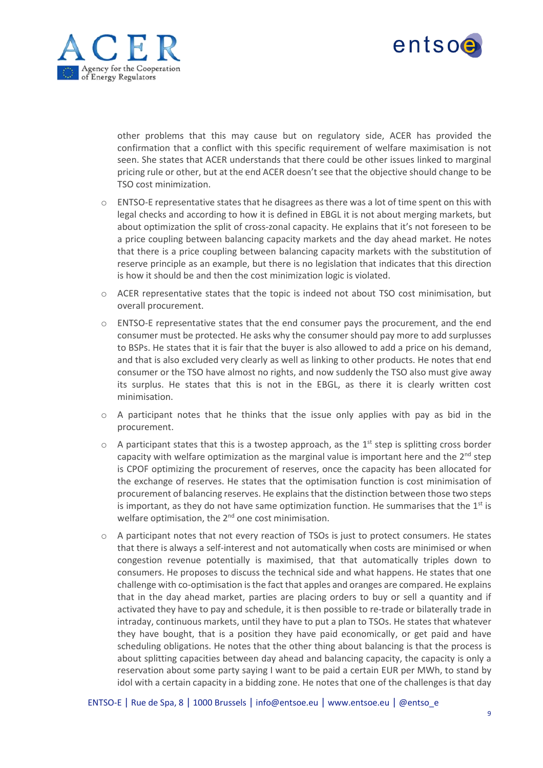



other problems that this may cause but on regulatory side, ACER has provided the confirmation that a conflict with this specific requirement of welfare maximisation is not seen. She states that ACER understands that there could be other issues linked to marginal pricing rule or other, but at the end ACER doesn't see that the objective should change to be TSO cost minimization.

- $\circ$  ENTSO-E representative states that he disagrees as there was a lot of time spent on this with legal checks and according to how it is defined in EBGL it is not about merging markets, but about optimization the split of cross-zonal capacity. He explains that it's not foreseen to be a price coupling between balancing capacity markets and the day ahead market. He notes that there is a price coupling between balancing capacity markets with the substitution of reserve principle as an example, but there is no legislation that indicates that this direction is how it should be and then the cost minimization logic is violated.
- o ACER representative states that the topic is indeed not about TSO cost minimisation, but overall procurement.
- o ENTSO-E representative states that the end consumer pays the procurement, and the end consumer must be protected. He asks why the consumer should pay more to add surplusses to BSPs. He states that it is fair that the buyer is also allowed to add a price on his demand, and that is also excluded very clearly as well as linking to other products. He notes that end consumer or the TSO have almost no rights, and now suddenly the TSO also must give away its surplus. He states that this is not in the EBGL, as there it is clearly written cost minimisation.
- $\circ$  A participant notes that he thinks that the issue only applies with pay as bid in the procurement.
- $\circ$  A participant states that this is a twostep approach, as the  $1^{st}$  step is splitting cross border capacity with welfare optimization as the marginal value is important here and the 2<sup>nd</sup> step is CPOF optimizing the procurement of reserves, once the capacity has been allocated for the exchange of reserves. He states that the optimisation function is cost minimisation of procurement of balancing reserves. He explains that the distinction between those two steps is important, as they do not have same optimization function. He summarises that the  $1<sup>st</sup>$  is welfare optimisation, the 2<sup>nd</sup> one cost minimisation.
- $\circ$  A participant notes that not every reaction of TSOs is just to protect consumers. He states that there is always a self-interest and not automatically when costs are minimised or when congestion revenue potentially is maximised, that that automatically triples down to consumers. He proposes to discuss the technical side and what happens. He states that one challenge with co-optimisation is the fact that apples and oranges are compared. He explains that in the day ahead market, parties are placing orders to buy or sell a quantity and if activated they have to pay and schedule, it is then possible to re-trade or bilaterally trade in intraday, continuous markets, until they have to put a plan to TSOs. He states that whatever they have bought, that is a position they have paid economically, or get paid and have scheduling obligations. He notes that the other thing about balancing is that the process is about splitting capacities between day ahead and balancing capacity, the capacity is only a reservation about some party saying I want to be paid a certain EUR per MWh, to stand by idol with a certain capacity in a bidding zone. He notes that one of the challenges is that day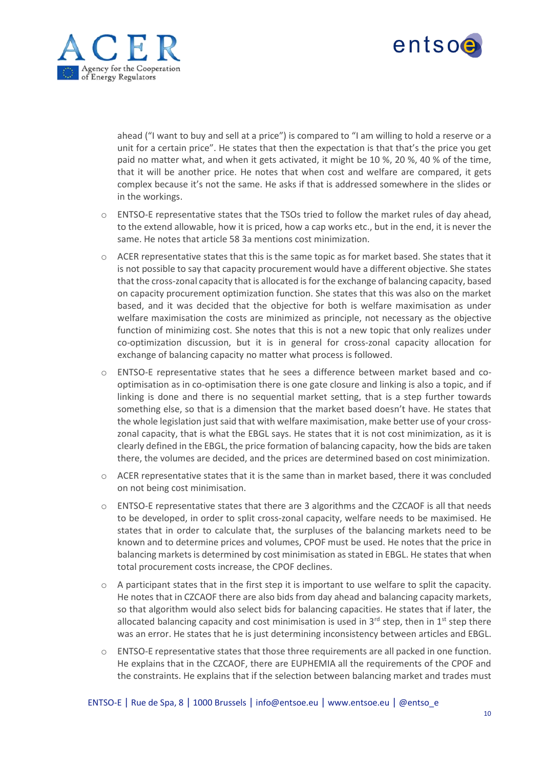



ahead ("I want to buy and sell at a price") is compared to "I am willing to hold a reserve or a unit for a certain price". He states that then the expectation is that that's the price you get paid no matter what, and when it gets activated, it might be 10 %, 20 %, 40 % of the time, that it will be another price. He notes that when cost and welfare are compared, it gets complex because it's not the same. He asks if that is addressed somewhere in the slides or in the workings.

- o ENTSO-E representative states that the TSOs tried to follow the market rules of day ahead, to the extend allowable, how it is priced, how a cap works etc., but in the end, it is never the same. He notes that article 58 3a mentions cost minimization.
- $\circ$  ACER representative states that this is the same topic as for market based. She states that it is not possible to say that capacity procurement would have a different objective. She states that the cross-zonal capacity that is allocated isfor the exchange of balancing capacity, based on capacity procurement optimization function. She states that this was also on the market based, and it was decided that the objective for both is welfare maximisation as under welfare maximisation the costs are minimized as principle, not necessary as the objective function of minimizing cost. She notes that this is not a new topic that only realizes under co-optimization discussion, but it is in general for cross-zonal capacity allocation for exchange of balancing capacity no matter what process is followed.
- o ENTSO-E representative states that he sees a difference between market based and cooptimisation as in co-optimisation there is one gate closure and linking is also a topic, and if linking is done and there is no sequential market setting, that is a step further towards something else, so that is a dimension that the market based doesn't have. He states that the whole legislation just said that with welfare maximisation, make better use of your crosszonal capacity, that is what the EBGL says. He states that it is not cost minimization, as it is clearly defined in the EBGL, the price formation of balancing capacity, how the bids are taken there, the volumes are decided, and the prices are determined based on cost minimization.
- $\circ$  ACER representative states that it is the same than in market based, there it was concluded on not being cost minimisation.
- $\circ$  ENTSO-E representative states that there are 3 algorithms and the CZCAOF is all that needs to be developed, in order to split cross-zonal capacity, welfare needs to be maximised. He states that in order to calculate that, the surpluses of the balancing markets need to be known and to determine prices and volumes, CPOF must be used. He notes that the price in balancing markets is determined by cost minimisation as stated in EBGL. He states that when total procurement costs increase, the CPOF declines.
- $\circ$  A participant states that in the first step it is important to use welfare to split the capacity. He notes that in CZCAOF there are also bids from day ahead and balancing capacity markets, so that algorithm would also select bids for balancing capacities. He states that if later, the allocated balancing capacity and cost minimisation is used in  $3^{rd}$  step, then in  $1^{st}$  step there was an error. He states that he is just determining inconsistency between articles and EBGL.
- $\circ$  ENTSO-E representative states that those three requirements are all packed in one function. He explains that in the CZCAOF, there are EUPHEMIA all the requirements of the CPOF and the constraints. He explains that if the selection between balancing market and trades must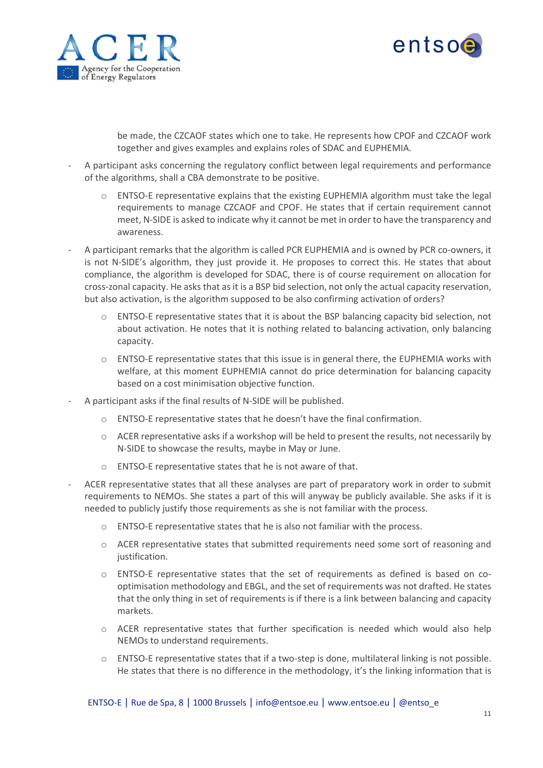



be made, the CZCAOF states which one to take. He represents how CPOF and CZCAOF work together and gives examples and explains roles of SDAC and EUPHEMIA.

- A participant asks concerning the regulatory conflict between legal requirements and performance of the algorithms, shall a CBA demonstrate to be positive.
	- $\circ$  ENTSO-E representative explains that the existing EUPHEMIA algorithm must take the legal requirements to manage CZCAOF and CPOF. He states that if certain requirement cannot meet, N-SIDE is asked to indicate why it cannot be met in order to have the transparency and awareness.
- A participant remarks that the algorithm is called PCR EUPHEMIA and is owned by PCR co-owners, it is not N-SIDE's algorithm, they just provide it. He proposes to correct this. He states that about compliance, the algorithm is developed for SDAC, there is of course requirement on allocation for cross-zonal capacity. He asks that as it is a BSP bid selection, not only the actual capacity reservation, but also activation, is the algorithm supposed to be also confirming activation of orders?
	- $\circ$  ENTSO-E representative states that it is about the BSP balancing capacity bid selection, not about activation. He notes that it is nothing related to balancing activation, only balancing capacity.
	- o ENTSO-E representative states that this issue is in general there, the EUPHEMIA works with welfare, at this moment EUPHEMIA cannot do price determination for balancing capacity based on a cost minimisation objective function.
- A participant asks if the final results of N-SIDE will be published.
	- o ENTSO-E representative states that he doesn't have the final confirmation.
	- $\circ$  ACER representative asks if a workshop will be held to present the results, not necessarily by N-SIDE to showcase the results, maybe in May or June.
	- o ENTSO-E representative states that he is not aware of that.
- ACER representative states that all these analyses are part of preparatory work in order to submit requirements to NEMOs. She states a part of this will anyway be publicly available. She asks if it is needed to publicly justify those requirements as she is not familiar with the process.
	- o ENTSO-E representative states that he is also not familiar with the process.
	- o ACER representative states that submitted requirements need some sort of reasoning and justification.
	- $\circ$  ENTSO-E representative states that the set of requirements as defined is based on cooptimisation methodology and EBGL, and the set of requirements was not drafted. He states that the only thing in set of requirements is if there is a link between balancing and capacity markets.
	- $\circ$  ACER representative states that further specification is needed which would also help NEMOs to understand requirements.
	- o ENTSO-E representative states that if a two-step is done, multilateral linking is not possible. He states that there is no difference in the methodology, it's the linking information that is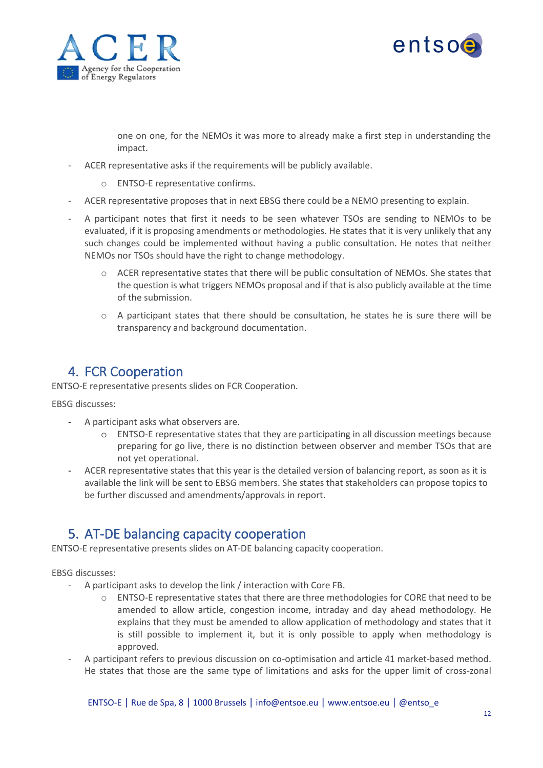



one on one, for the NEMOs it was more to already make a first step in understanding the impact.

- ACER representative asks if the requirements will be publicly available.
	- o ENTSO-E representative confirms.
- ACER representative proposes that in next EBSG there could be a NEMO presenting to explain.
- A participant notes that first it needs to be seen whatever TSOs are sending to NEMOs to be evaluated, if it is proposing amendments or methodologies. He states that it is very unlikely that any such changes could be implemented without having a public consultation. He notes that neither NEMOs nor TSOs should have the right to change methodology.
	- o ACER representative states that there will be public consultation of NEMOs. She states that the question is what triggers NEMOs proposal and if that is also publicly available at the time of the submission.
	- $\circ$  A participant states that there should be consultation, he states he is sure there will be transparency and background documentation.

#### <span id="page-11-0"></span>4. FCR Cooperation

ENTSO-E representative presents slides on FCR Cooperation.

EBSG discusses:

- A participant asks what observers are.
	- o ENTSO-E representative states that they are participating in all discussion meetings because preparing for go live, there is no distinction between observer and member TSOs that are not yet operational.
- ACER representative states that this year is the detailed version of balancing report, as soon as it is available the link will be sent to EBSG members. She states that stakeholders can propose topics to be further discussed and amendments/approvals in report.

### <span id="page-11-1"></span>5. AT-DE balancing capacity cooperation

ENTSO-E representative presents slides on AT-DE balancing capacity cooperation.

#### EBSG discusses:

- A participant asks to develop the link / interaction with Core FB.
	- o ENTSO-E representative states that there are three methodologies for CORE that need to be amended to allow article, congestion income, intraday and day ahead methodology. He explains that they must be amended to allow application of methodology and states that it is still possible to implement it, but it is only possible to apply when methodology is approved.
- A participant refers to previous discussion on co-optimisation and article 41 market-based method. He states that those are the same type of limitations and asks for the upper limit of cross-zonal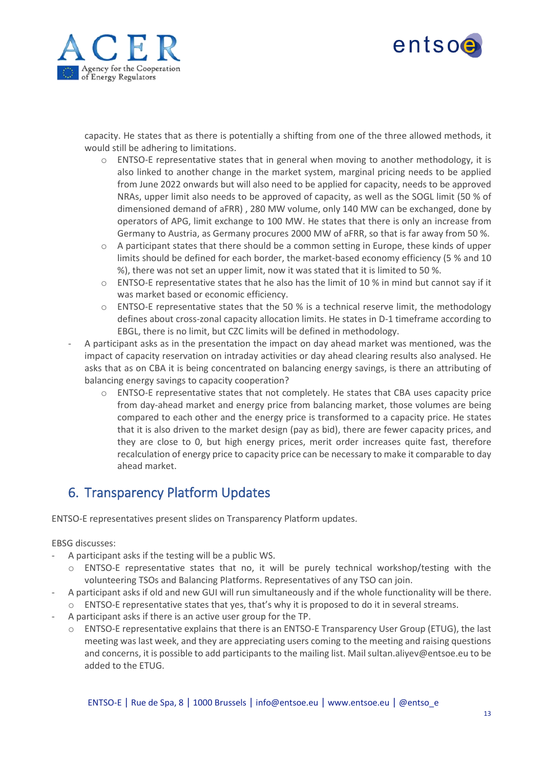



capacity. He states that as there is potentially a shifting from one of the three allowed methods, it would still be adhering to limitations.

- $\circ$  ENTSO-E representative states that in general when moving to another methodology, it is also linked to another change in the market system, marginal pricing needs to be applied from June 2022 onwards but will also need to be applied for capacity, needs to be approved NRAs, upper limit also needs to be approved of capacity, as well as the SOGL limit (50 % of dimensioned demand of aFRR) , 280 MW volume, only 140 MW can be exchanged, done by operators of APG, limit exchange to 100 MW. He states that there is only an increase from Germany to Austria, as Germany procures 2000 MW of aFRR, so that is far away from 50 %.
- $\circ$  A participant states that there should be a common setting in Europe, these kinds of upper limits should be defined for each border, the market-based economy efficiency (5 % and 10 %), there was not set an upper limit, now it was stated that it is limited to 50 %.
- $\circ$  ENTSO-E representative states that he also has the limit of 10 % in mind but cannot say if it was market based or economic efficiency.
- $\circ$  ENTSO-E representative states that the 50 % is a technical reserve limit, the methodology defines about cross-zonal capacity allocation limits. He states in D-1 timeframe according to EBGL, there is no limit, but CZC limits will be defined in methodology.
- A participant asks as in the presentation the impact on day ahead market was mentioned, was the impact of capacity reservation on intraday activities or day ahead clearing results also analysed. He asks that as on CBA it is being concentrated on balancing energy savings, is there an attributing of balancing energy savings to capacity cooperation?
	- $\circ$  ENTSO-E representative states that not completely. He states that CBA uses capacity price from day-ahead market and energy price from balancing market, those volumes are being compared to each other and the energy price is transformed to a capacity price. He states that it is also driven to the market design (pay as bid), there are fewer capacity prices, and they are close to 0, but high energy prices, merit order increases quite fast, therefore recalculation of energy price to capacity price can be necessary to make it comparable to day ahead market.

### <span id="page-12-0"></span>6. Transparency Platform Updates

ENTSO-E representatives present slides on Transparency Platform updates.

EBSG discusses:

- A participant asks if the testing will be a public WS.
	- $\circ$  ENTSO-E representative states that no, it will be purely technical workshop/testing with the volunteering TSOs and Balancing Platforms. Representatives of any TSO can join.
- A participant asks if old and new GUI will run simultaneously and if the whole functionality will be there. o ENTSO-E representative states that yes, that's why it is proposed to do it in several streams.
- A participant asks if there is an active user group for the TP.
	- o ENTSO-E representative explains that there is an ENTSO-E Transparency User Group (ETUG), the last meeting was last week, and they are appreciating users coming to the meeting and raising questions and concerns, it is possible to add participants to the mailing list. Mail sultan.aliyev@entsoe.eu to be added to the ETUG.